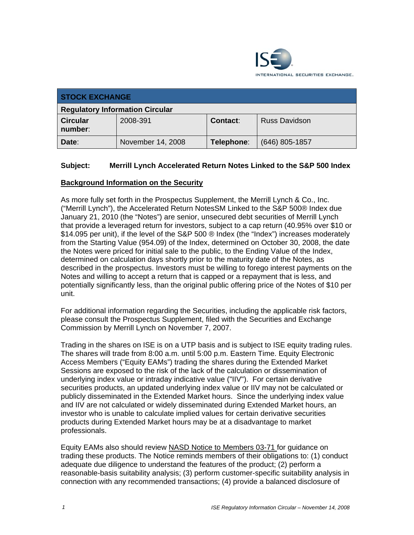

| <b>STOCK EXCHANGE</b>                  |                   |            |                      |
|----------------------------------------|-------------------|------------|----------------------|
| <b>Regulatory Information Circular</b> |                   |            |                      |
| <b>Circular</b><br>number:             | 2008-391          | Contact:   | <b>Russ Davidson</b> |
| Date:                                  | November 14, 2008 | Telephone: | $(646)$ 805-1857     |

## **Subject: Merrill Lynch Accelerated Return Notes Linked to the S&P 500 Index**

## **Background Information on the Security**

As more fully set forth in the Prospectus Supplement, the Merrill Lynch & Co., Inc. ("Merrill Lynch"), the Accelerated Return NotesSM Linked to the S&P 500® Index due January 21, 2010 (the "Notes") are senior, unsecured debt securities of Merrill Lynch that provide a leveraged return for investors, subject to a cap return (40.95% over \$10 or \$14.095 per unit), if the level of the S&P 500 ® Index (the "Index") increases moderately from the Starting Value (954.09) of the Index, determined on October 30, 2008, the date the Notes were priced for initial sale to the public, to the Ending Value of the Index, determined on calculation days shortly prior to the maturity date of the Notes, as described in the prospectus. Investors must be willing to forego interest payments on the Notes and willing to accept a return that is capped or a repayment that is less, and potentially significantly less, than the original public offering price of the Notes of \$10 per unit.

For additional information regarding the Securities, including the applicable risk factors, please consult the Prospectus Supplement, filed with the Securities and Exchange Commission by Merrill Lynch on November 7, 2007.

Trading in the shares on ISE is on a UTP basis and is subject to ISE equity trading rules. The shares will trade from 8:00 a.m. until 5:00 p.m. Eastern Time. Equity Electronic Access Members ("Equity EAMs") trading the shares during the Extended Market Sessions are exposed to the risk of the lack of the calculation or dissemination of underlying index value or intraday indicative value ("IIV"). For certain derivative securities products, an updated underlying index value or IIV may not be calculated or publicly disseminated in the Extended Market hours. Since the underlying index value and IIV are not calculated or widely disseminated during Extended Market hours, an investor who is unable to calculate implied values for certain derivative securities products during Extended Market hours may be at a disadvantage to market professionals.

Equity EAMs also should review NASD Notice to Members 03-71 for guidance on trading these products. The Notice reminds members of their obligations to: (1) conduct adequate due diligence to understand the features of the product; (2) perform a reasonable-basis suitability analysis; (3) perform customer-specific suitability analysis in connection with any recommended transactions; (4) provide a balanced disclosure of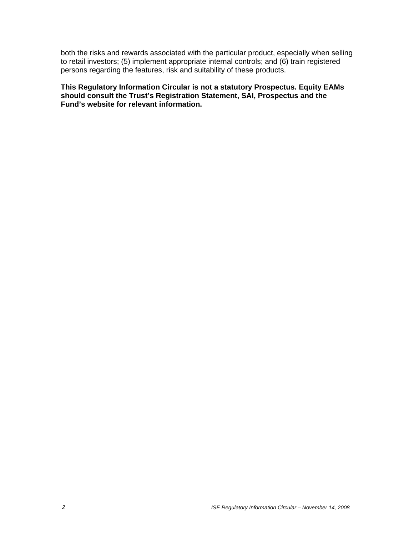both the risks and rewards associated with the particular product, especially when selling to retail investors; (5) implement appropriate internal controls; and (6) train registered persons regarding the features, risk and suitability of these products.

**This Regulatory Information Circular is not a statutory Prospectus. Equity EAMs should consult the Trust's Registration Statement, SAI, Prospectus and the Fund's website for relevant information.**